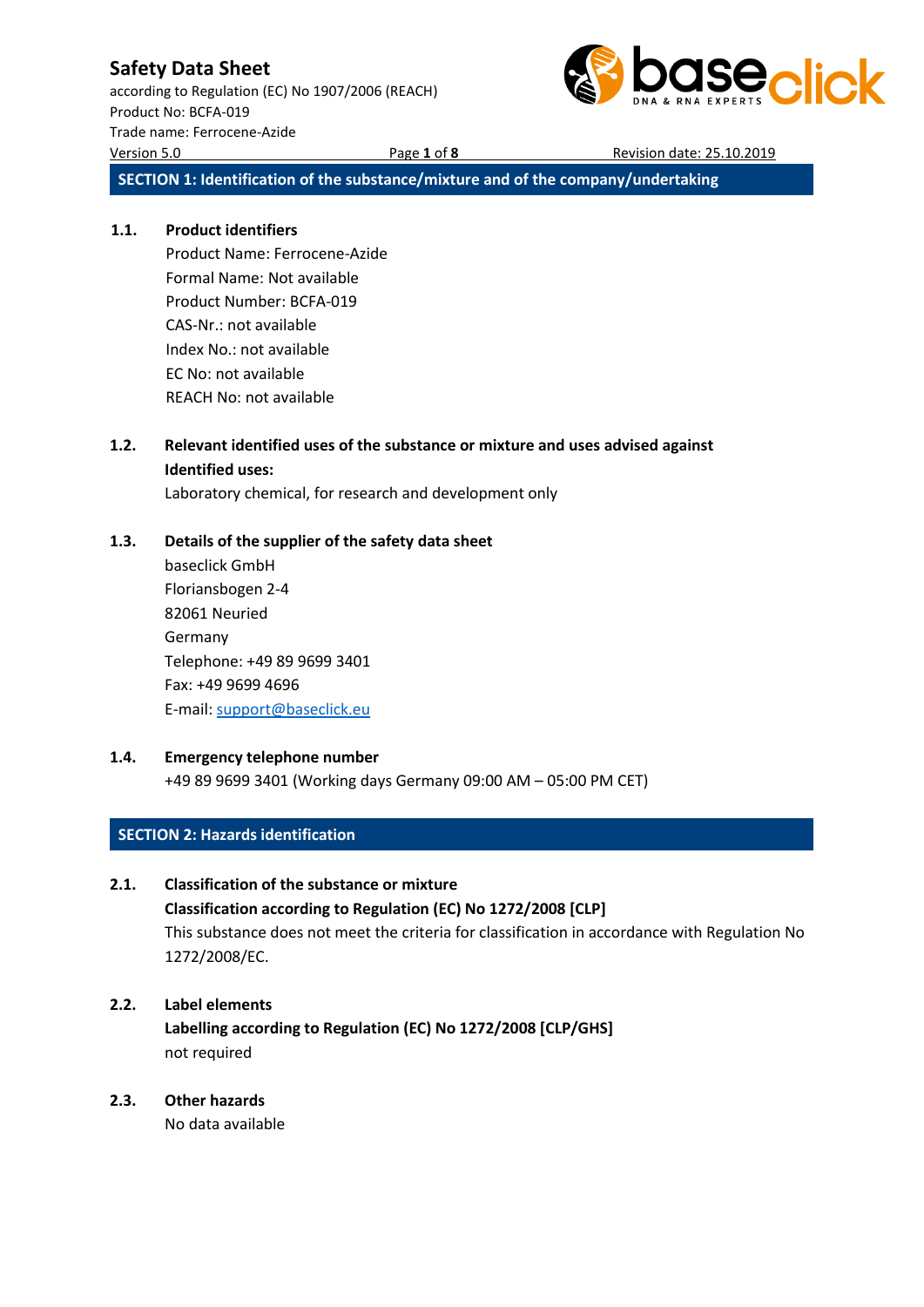according to Regulation (EC) No 1907/2006 (REACH) Product No: BCFA-019 Trade name: Ferrocene-Azide Version 5.0 Page **1** of **8** Revision date: 25.10.2019



**SECTION 1: Identification of the substance/mixture and of the company/undertaking**

### **1.1. Product identifiers**

Product Name: Ferrocene-Azide Formal Name: Not available Product Number: BCFA-019 CAS-Nr.: not available Index No.: not available EC No: not available REACH No: not available

### **1.2. Relevant identified uses of the substance or mixture and uses advised against Identified uses:**

Laboratory chemical, for research and development only

### **1.3. Details of the supplier of the safety data sheet**

baseclick GmbH Floriansbogen 2-4 82061 Neuried Germany Telephone: +49 89 9699 3401 Fax: +49 9699 4696 E-mail[: support@baseclick.eu](mailto:support@baseclick.eu)

### **1.4. Emergency telephone number**

+49 89 9699 3401 (Working days Germany 09:00 AM – 05:00 PM CET)

### **SECTION 2: Hazards identification**

### **2.1. Classification of the substance or mixture**

**Classification according to Regulation (EC) No 1272/2008 [CLP]** This substance does not meet the criteria for classification in accordance with Regulation No 1272/2008/EC.

### **2.2. Label elements**

**Labelling according to Regulation (EC) No 1272/2008 [CLP/GHS]** not required

### **2.3. Other hazards**

No data available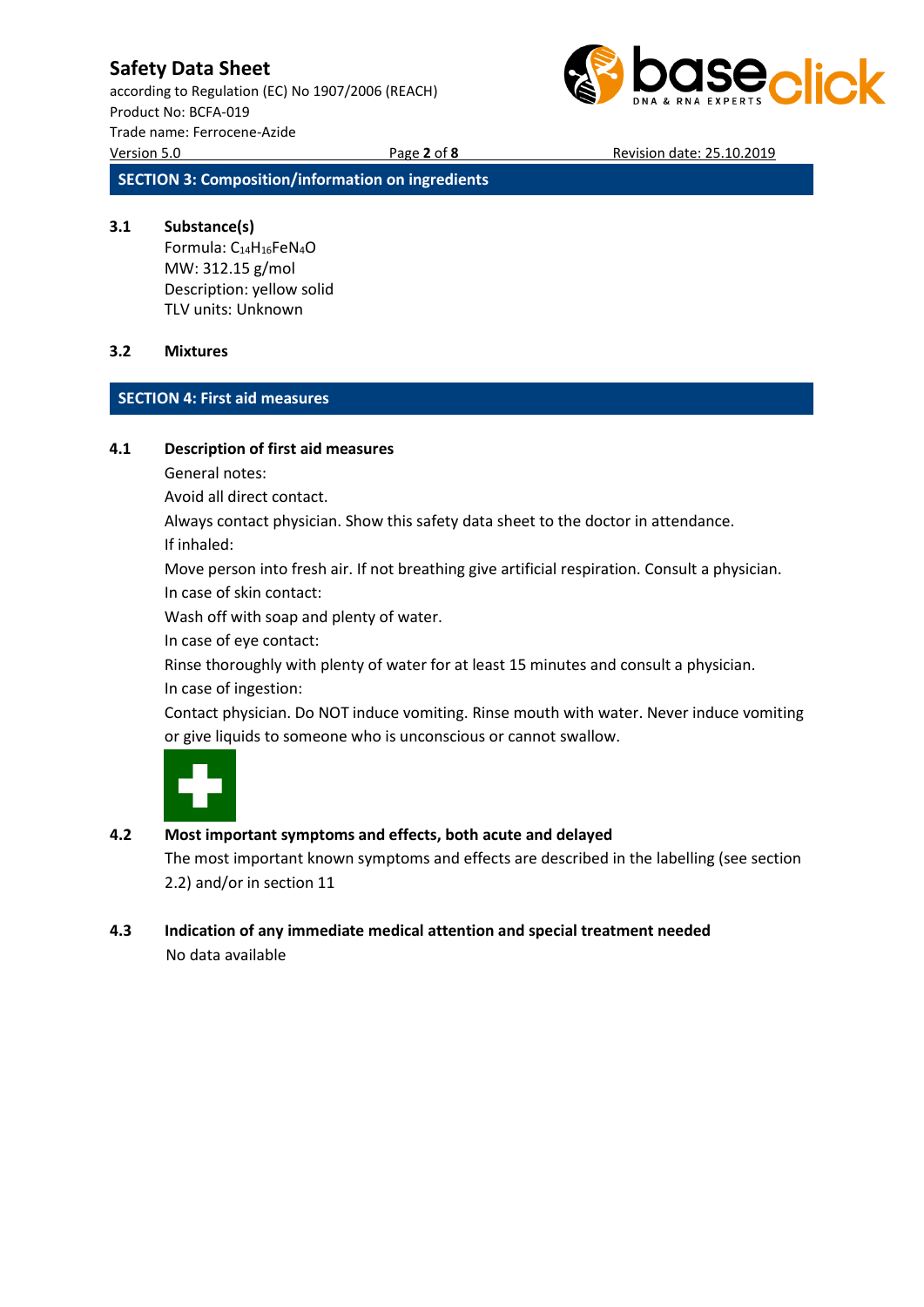according to Regulation (EC) No 1907/2006 (REACH) Product No: BCFA-019 Trade name: Ferrocene-Azide Version 5.0 Page **2** of **8** Revision date: 25.10.2019



**SECTION 3: Composition/information on ingredients**

### **3.1 Substance(s)**

Formula: C14H16FeN4O MW: 312.15 g/mol Description: yellow solid TLV units: Unknown

### **3.2 Mixtures**

### **SECTION 4: First aid measures**

### **4.1 Description of first aid measures**

General notes:

Avoid all direct contact.

Always contact physician. Show this safety data sheet to the doctor in attendance.

If inhaled:

Move person into fresh air. If not breathing give artificial respiration. Consult a physician. In case of skin contact:

Wash off with soap and plenty of water.

In case of eye contact:

Rinse thoroughly with plenty of water for at least 15 minutes and consult a physician. In case of ingestion:

Contact physician. Do NOT induce vomiting. Rinse mouth with water. Never induce vomiting or give liquids to someone who is unconscious or cannot swallow.



### **4.2 Most important symptoms and effects, both acute and delayed**

The most important known symptoms and effects are described in the labelling (see section 2.2) and/or in section 11

### **4.3 Indication of any immediate medical attention and special treatment needed** No data available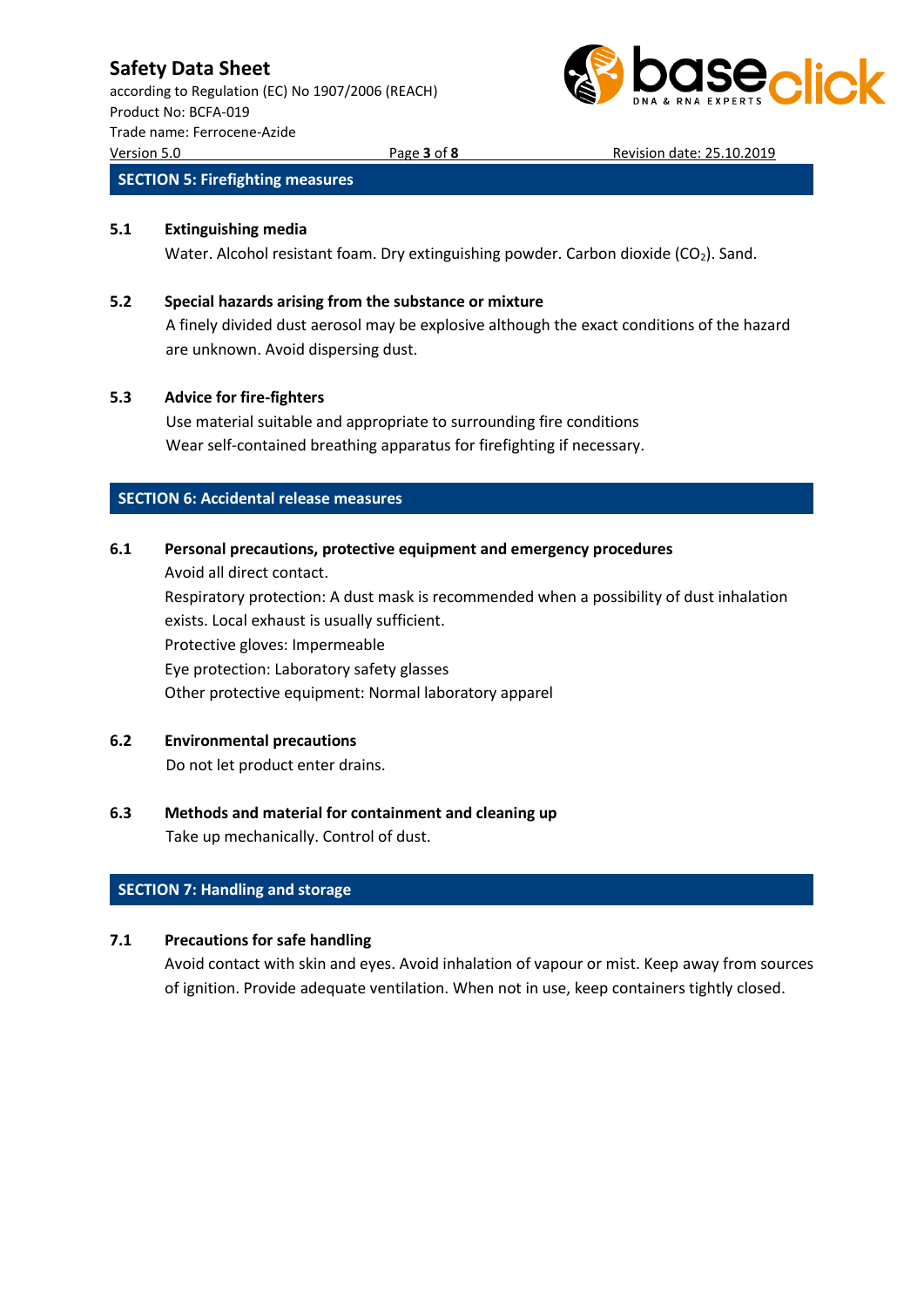according to Regulation (EC) No 1907/2006 (REACH) Product No: BCFA-019 Trade name: Ferrocene-Azide Version 5.0 Page **3** of **8** Revision date: 25.10.2019



### **SECTION 5: Firefighting measures**

#### **5.1 Extinguishing media**

Water. Alcohol resistant foam. Dry extinguishing powder. Carbon dioxide  $(CO<sub>2</sub>)$ . Sand.

#### **5.2 Special hazards arising from the substance or mixture**

A finely divided dust aerosol may be explosive although the exact conditions of the hazard are unknown. Avoid dispersing dust.

### **5.3 Advice for fire-fighters**

Use material suitable and appropriate to surrounding fire conditions Wear self-contained breathing apparatus for firefighting if necessary.

### **SECTION 6: Accidental release measures**

### **6.1 Personal precautions, protective equipment and emergency procedures**

Avoid all direct contact. Respiratory protection: A dust mask is recommended when a possibility of dust inhalation exists. Local exhaust is usually sufficient. Protective gloves: Impermeable Eye protection: Laboratory safety glasses Other protective equipment: Normal laboratory apparel

### **6.2 Environmental precautions**

Do not let product enter drains.

### **6.3 Methods and material for containment and cleaning up** Take up mechanically. Control of dust.

### **SECTION 7: Handling and storage**

### **7.1 Precautions for safe handling**

Avoid contact with skin and eyes. Avoid inhalation of vapour or mist. Keep away from sources of ignition. Provide adequate ventilation. When not in use, keep containers tightly closed.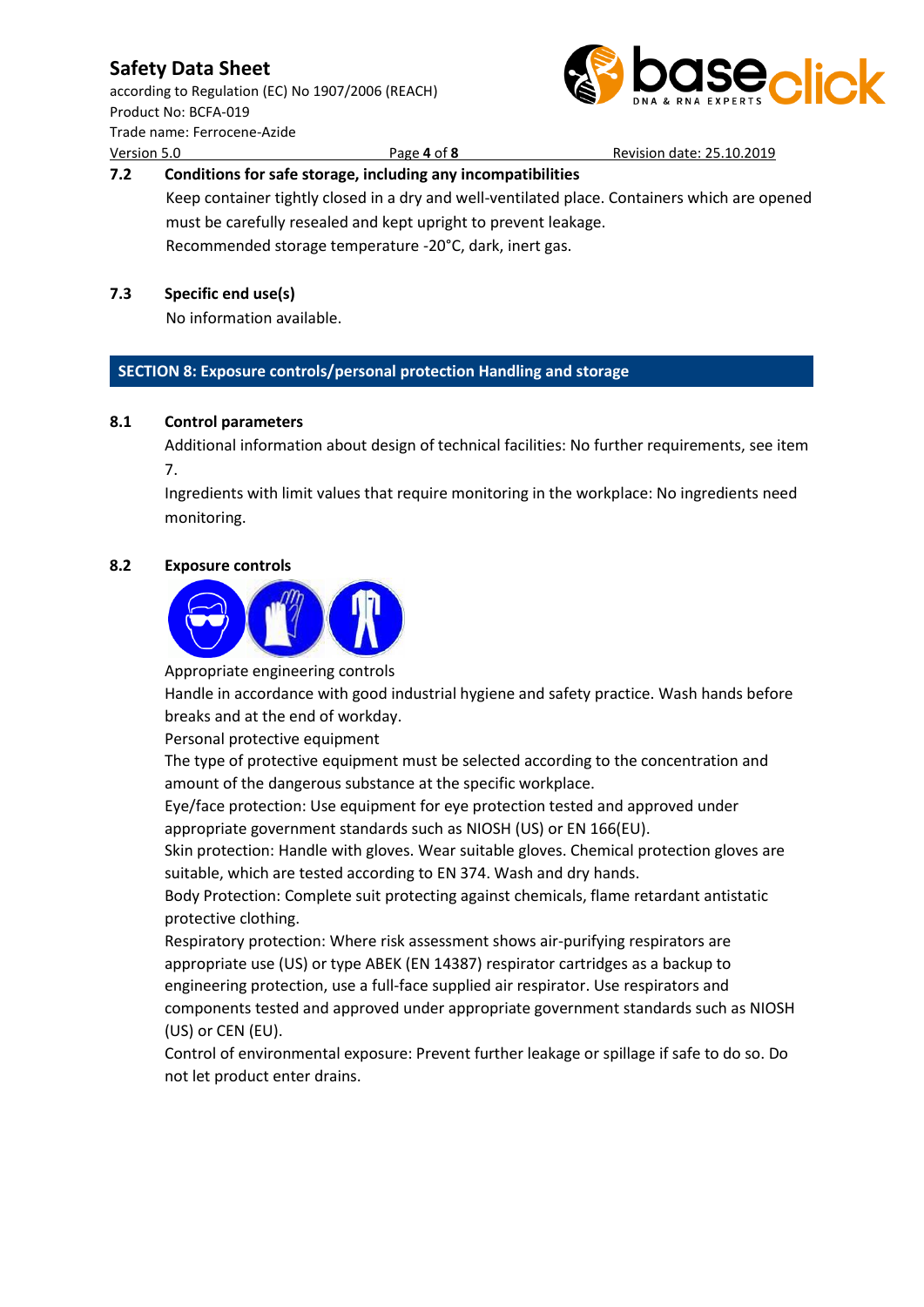according to Regulation (EC) No 1907/2006 (REACH) Product No: BCFA-019 Trade name: Ferrocene-Azide Version 5.0 Page **4** of **8** Revision date: 25.10.2019



# **7.2 Conditions for safe storage, including any incompatibilities**

Keep container tightly closed in a dry and well-ventilated place. Containers which are opened must be carefully resealed and kept upright to prevent leakage. Recommended storage temperature -20°C, dark, inert gas.

### **7.3 Specific end use(s)**

No information available.

### **SECTION 8: Exposure controls/personal protection Handling and storage**

### **8.1 Control parameters**

Additional information about design of technical facilities: No further requirements, see item 7.

Ingredients with limit values that require monitoring in the workplace: No ingredients need monitoring.

### **8.2 Exposure controls**



Appropriate engineering controls

Handle in accordance with good industrial hygiene and safety practice. Wash hands before breaks and at the end of workday.

Personal protective equipment

The type of protective equipment must be selected according to the concentration and amount of the dangerous substance at the specific workplace.

Eye/face protection: Use equipment for eye protection tested and approved under appropriate government standards such as NIOSH (US) or EN 166(EU).

Skin protection: Handle with gloves. Wear suitable gloves. Chemical protection gloves are suitable, which are tested according to EN 374. Wash and dry hands.

Body Protection: Complete suit protecting against chemicals, flame retardant antistatic protective clothing.

Respiratory protection: Where risk assessment shows air-purifying respirators are appropriate use (US) or type ABEK (EN 14387) respirator cartridges as a backup to engineering protection, use a full-face supplied air respirator. Use respirators and components tested and approved under appropriate government standards such as NIOSH (US) or CEN (EU).

Control of environmental exposure: Prevent further leakage or spillage if safe to do so. Do not let product enter drains.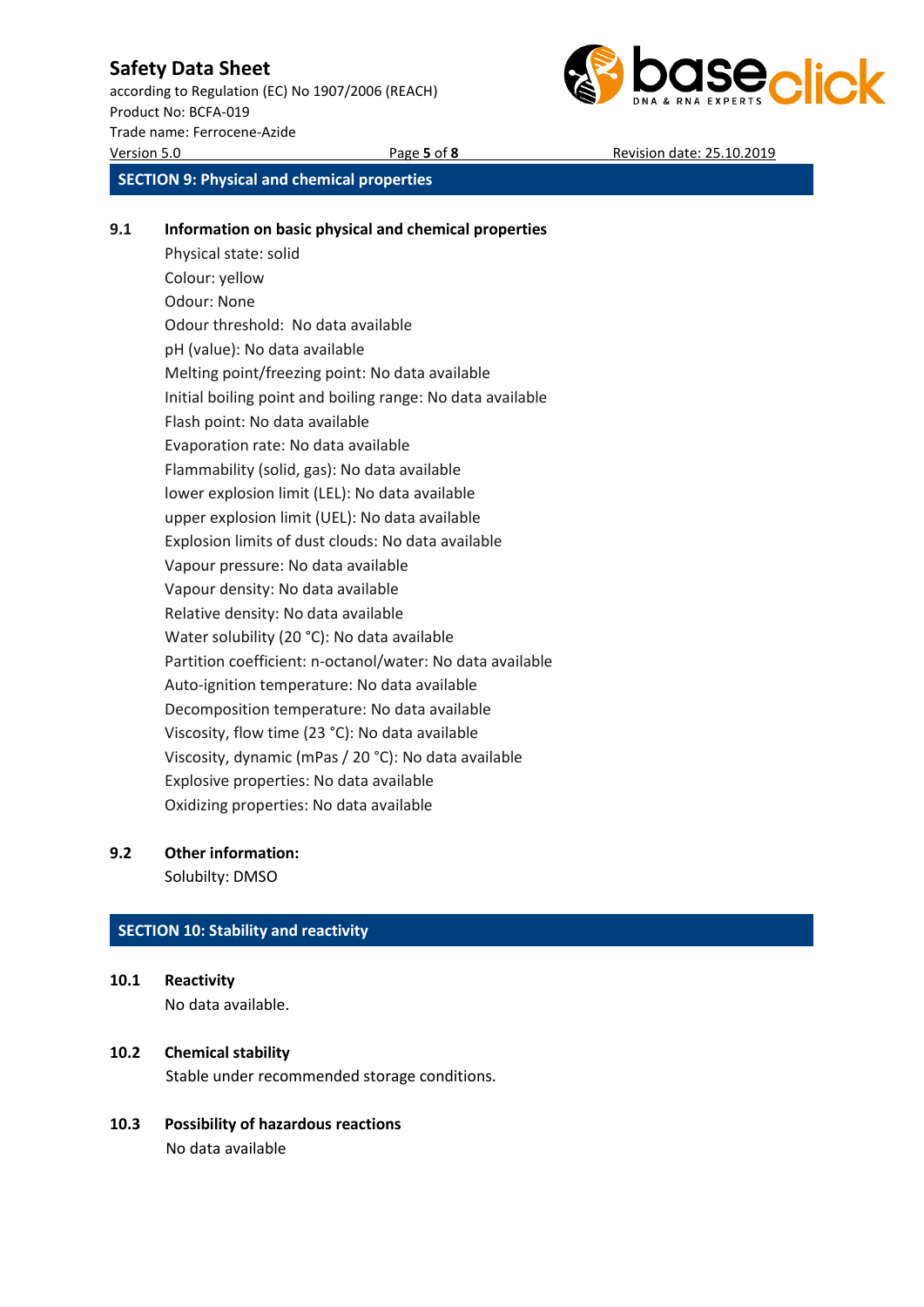according to Regulation (EC) No 1907/2006 (REACH) Product No: BCFA-019 Trade name: Ferrocene-Azide Version 5.0 Page **5** of **8** Revision date: 25.10.2019



**SECTION 9: Physical and chemical properties**

### **9.1 Information on basic physical and chemical properties**

Physical state: solid Colour: yellow Odour: None Odour threshold: No data available pH (value): No data available Melting point/freezing point: No data available Initial boiling point and boiling range: No data available Flash point: No data available Evaporation rate: No data available Flammability (solid, gas): No data available lower explosion limit (LEL): No data available upper explosion limit (UEL): No data available Explosion limits of dust clouds: No data available Vapour pressure: No data available Vapour density: No data available Relative density: No data available Water solubility (20 °C): No data available Partition coefficient: n-octanol/water: No data available Auto-ignition temperature: No data available Decomposition temperature: No data available Viscosity, flow time (23 °C): No data available Viscosity, dynamic (mPas / 20 °C): No data available Explosive properties: No data available Oxidizing properties: No data available

### **9.2 Other information:**

Solubilty: DMSO

### **SECTION 10: Stability and reactivity**

- **10.1 Reactivity** No data available.
- **10.2 Chemical stability** Stable under recommended storage conditions.
- **10.3 Possibility of hazardous reactions** No data available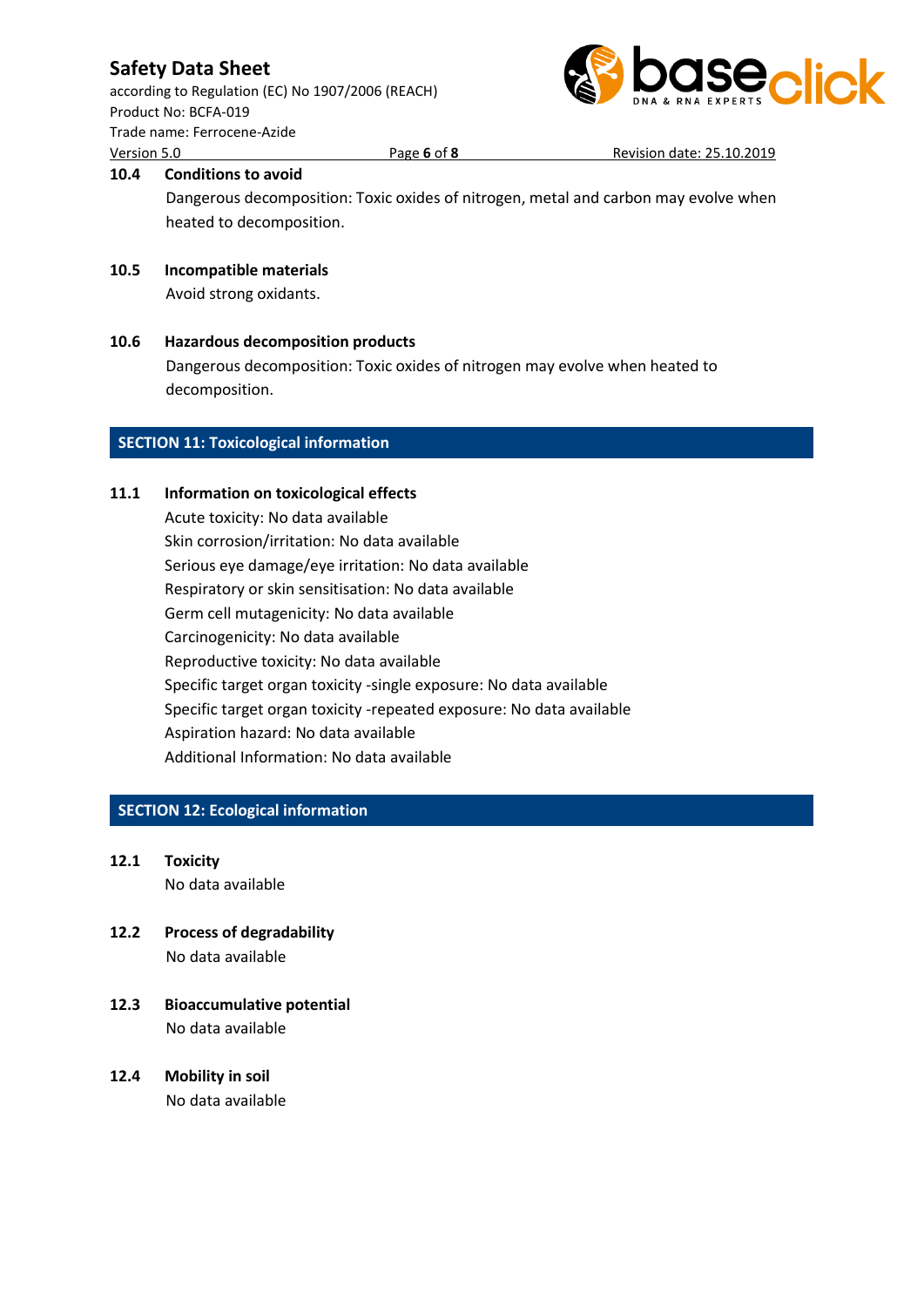according to Regulation (EC) No 1907/2006 (REACH) Product No: BCFA-019 Trade name: Ferrocene-Azide Version 5.0 Page **6** of **8** Revision date: 25.10.2019



### **10.4 Conditions to avoid**

Dangerous decomposition: Toxic oxides of nitrogen, metal and carbon may evolve when heated to decomposition.

### **10.5 Incompatible materials**

Avoid strong oxidants.

**10.6 Hazardous decomposition products** Dangerous decomposition: Toxic oxides of nitrogen may evolve when heated to decomposition.

### **SECTION 11: Toxicological information**

### **11.1 Information on toxicological effects**

Acute toxicity: No data available Skin corrosion/irritation: No data available Serious eye damage/eye irritation: No data available Respiratory or skin sensitisation: No data available Germ cell mutagenicity: No data available Carcinogenicity: No data available Reproductive toxicity: No data available Specific target organ toxicity -single exposure: No data available Specific target organ toxicity -repeated exposure: No data available Aspiration hazard: No data available Additional Information: No data available

### **SECTION 12: Ecological information**

- **12.1 Toxicity** No data available
- **12.2 Process of degradability** No data available
- **12.3 Bioaccumulative potential** No data available
- **12.4 Mobility in soil** No data available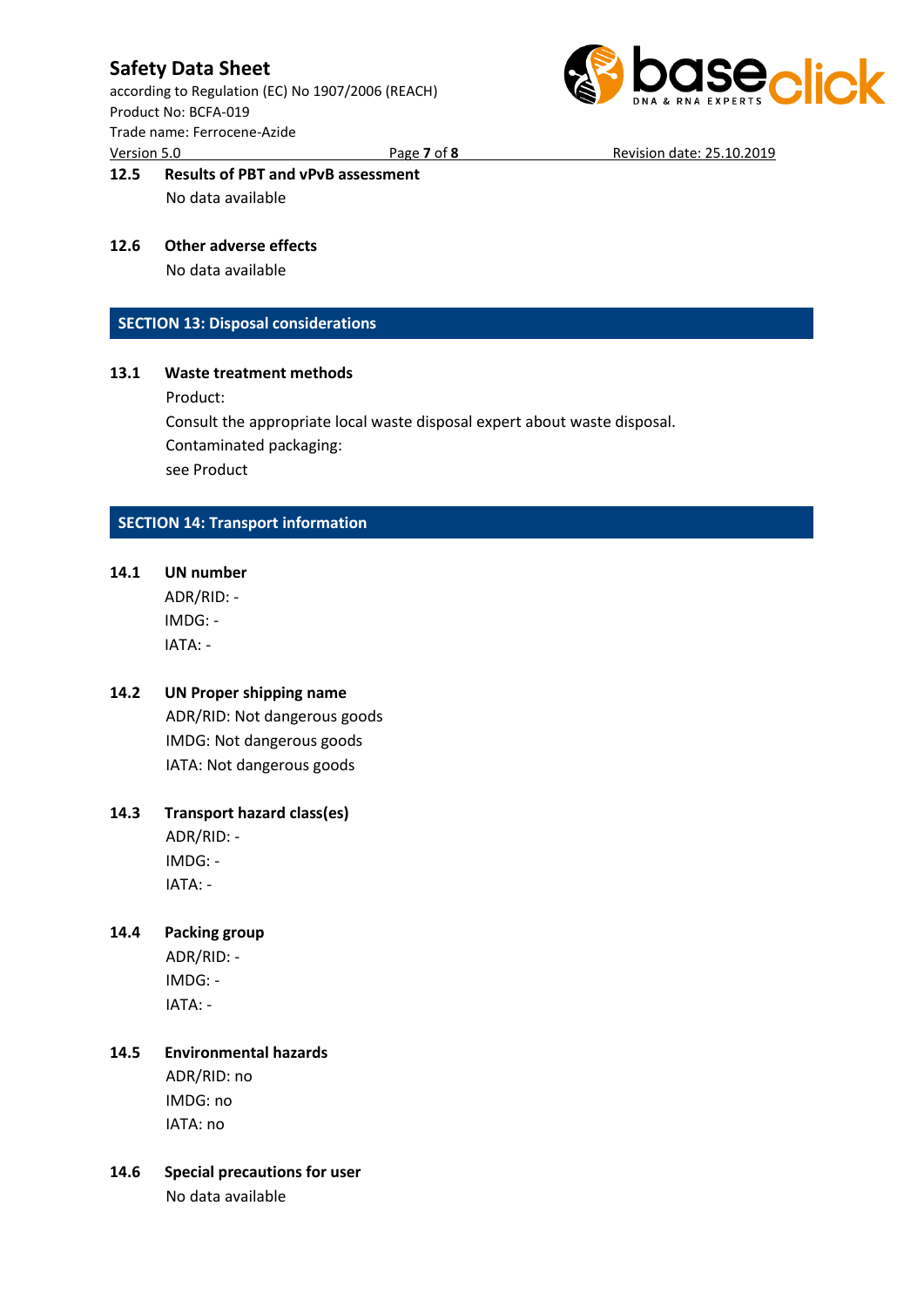according to Regulation (EC) No 1907/2006 (REACH) Product No: BCFA-019 Trade name: Ferrocene-Azide Version 5.0 Page **7** of **8** Revision date: 25.10.2019



### **12.5 Results of PBT and vPvB assessment** No data available

### **12.6 Other adverse effects**

No data available

### **SECTION 13: Disposal considerations**

### **13.1 Waste treatment methods**

Product:

Consult the appropriate local waste disposal expert about waste disposal. Contaminated packaging: see Product

### **SECTION 14: Transport information**

**14.1 UN number** ADR/RID: -

IMDG: - IATA: -

### **14.2 UN Proper shipping name**

ADR/RID: Not dangerous goods IMDG: Not dangerous goods IATA: Not dangerous goods

### **14.3 Transport hazard class(es)**

ADR/RID: - IMDG: - IATA: -

### **14.4 Packing group**

ADR/RID: - IMDG: - IATA: -

### **14.5 Environmental hazards** ADR/RID: no

IMDG: no IATA: no

# **14.6 Special precautions for user**

No data available